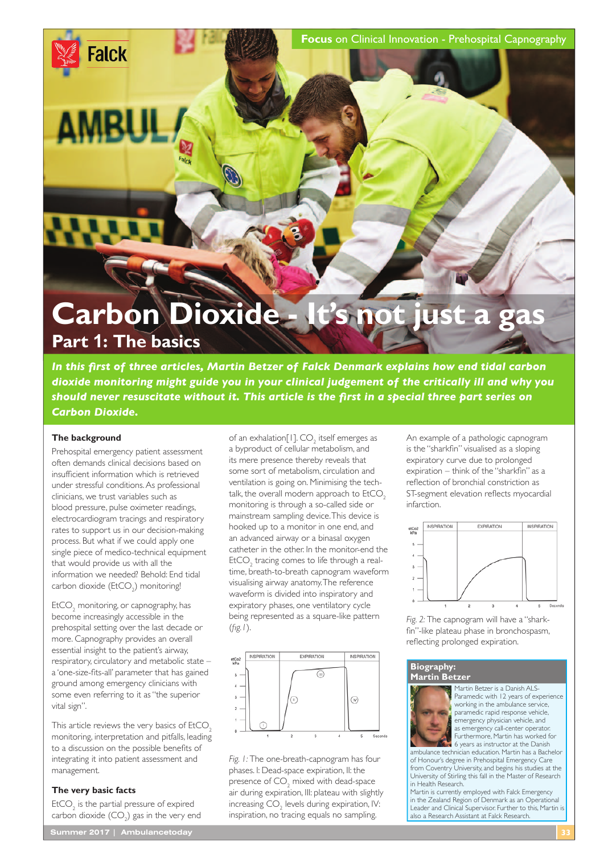**Focus** on Clinical Innovation - Prehospital Capnography

# **Carbon Dioxide - It's not just a gas Part 1: The basics**

*In this frst of three articles, Martin Betzer of Falck Denmark explains how end tidal carbon dioxide monitoring might guide you in your clinical judgement of the critically ill and why you should never resuscitate without it. This article is the frst in a special three part series on Carbon Dioxide.*

## **The background**

**Falck** 

AMRU

Prehospital emergency patient assessment often demands clinical decisions based on insuffcient information which is retrieved under stressful conditions. As professional clinicians, we trust variables such as blood pressure, pulse oximeter readings, electrocardiogram tracings and respiratory rates to support us in our decision-making process. But what if we could apply one single piece of medico-technical equipment that would provide us with all the information we needed? Behold: End tidal carbon dioxide  $(\text{EtCO}_2)$  monitoring!

 $\mathsf{EtCO}_{2}$  monitoring, or capnography, has become increasingly accessible in the prehospital setting over the last decade or more. Capnography provides an overall essential insight to the patient's airway, respiratory, circulatory and metabolic state – a 'one-size-fts-all' parameter that has gained ground among emergency clinicians with some even referring to it as "the superior vital sign".

This article reviews the very basics of EtCO<sub>2</sub> monitoring, interpretation and pitfalls, leading to a discussion on the possible benefts of integrating it into patient assessment and management.

## **The very basic facts**

 $E<sub>1</sub>CO<sub>2</sub>$  is the partial pressure of expired carbon dioxide  $(CO<sub>2</sub>)$  gas in the very end

of an exhalation[1].  $CO<sub>2</sub>$  itself emerges as a byproduct of cellular metabolism, and its mere presence thereby reveals that some sort of metabolism, circulation and ventilation is going on. Minimising the techtalk, the overall modern approach to  $EtCO<sub>2</sub>$ monitoring is through a so-called side or mainstream sampling device. This device is hooked up to a monitor in one end, and an advanced airway or a binasal oxygen catheter in the other. In the monitor-end the  $EtCO<sub>2</sub>$  tracing comes to life through a realtime, breath-to-breath capnogram waveform visualising airway anatomy. The reference waveform is divided into inspiratory and expiratory phases, one ventilatory cycle being represented as a square-like pattern (*fg.1*).



*Fig. 1:* The one-breath-capnogram has four phases. I: Dead-space expiration, II: the presence of  $\mathsf{CO}_2$  mixed with dead-space air during expiration, III: plateau with slightly increasing  $\mathrm{CO}_2$  levels during expiration, IV: inspiration, no tracing equals no sampling.

An example of a pathologic capnogram is the "sharkfn" visualised as a sloping expiratory curve due to prolonged expiration – think of the "sharkfn" as a refection of bronchial constriction as ST-segment elevation refects myocardial infarction.



*Fig. 2:* The capnogram will have a "sharkfn"-like plateau phase in bronchospasm, refecting prolonged expiration.

#### **Biography: Martin Betzer**



Martin Betzer is a Danish ALS-Paramedic with 12 years of experience working in the ambulance service, paramedic rapid response vehicle, emergency physician vehicle, and as emergency call-center operator Furthermore, Martin has worked for

6 years as instructor at the Danish ambulance technician education. Martin has a Bachelor of Honour's degree in Prehospital Emergency Care from Coventry University, and begins his studies at the University of Stirling this fall in the Master of Research in Health Research.

Martin is currently employed with Falck Emergency in the Zealand Region of Denmark as an Operational Leader and Clinical Supervisor. Further to this, Martin is also a Research Assistant at Falck Research.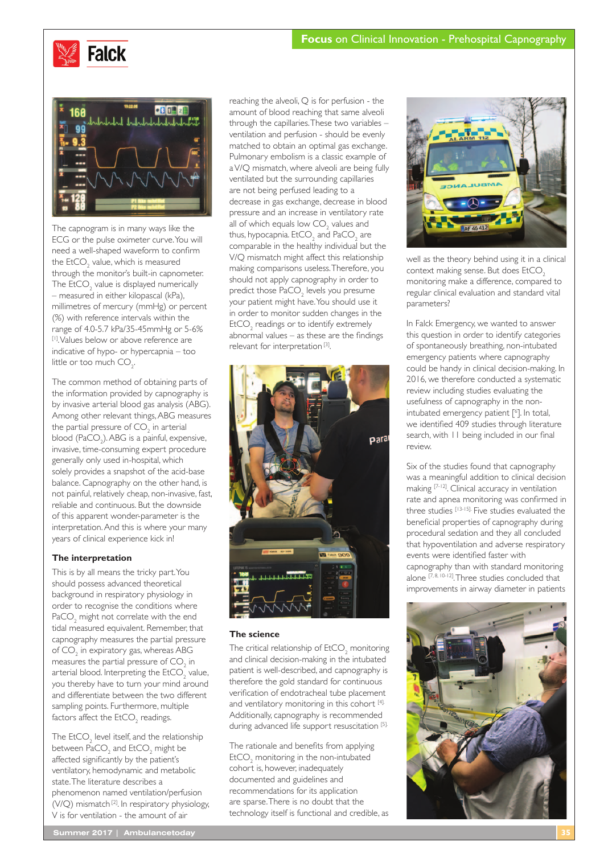



The capnogram is in many ways like the ECG or the pulse oximeter curve. You will need a well-shaped waveform to confrm the  $\mathsf{EtCO}_2^{}$  value, which is measured through the monitor's built-in capnometer. The  $E$ t $CO_2$  value is displayed numerically – measured in either kilopascal (kPa), millimetres of mercury (mmHg) or percent (%) with reference intervals within the range of 4.0-5.7 kPa/35-45mmHg or 5-6% [1]. Values below or above reference are indicative of hypo- or hypercapnia – too little or too much  $CO_{2}$ .

The common method of obtaining parts of the information provided by capnography is by invasive arterial blood gas analysis (ABG). Among other relevant things, ABG measures the partial pressure of  $\mathsf{CO}_2^{\vphantom{\dagger}}$  in arterial blood  $(\text{PaCO}_2)$ . ABG is a painful, expensive, invasive, time-consuming expert procedure generally only used in-hospital, which solely provides a snapshot of the acid-base balance. Capnography on the other hand, is not painful, relatively cheap, non-invasive, fast, reliable and continuous. But the downside of this apparent wonder-parameter is the interpretation. And this is where your many years of clinical experience kick in!

## **The interpretation**

This is by all means the tricky part. You should possess advanced theoretical background in respiratory physiology in order to recognise the conditions where PaCO<sub>2</sub> might not correlate with the end tidal measured equivalent. Remember, that capnography measures the partial pressure of  $\mathsf{CO}_2$  in expiratory gas, whereas ABG measures the partial pressure of  $\mathrm{CO}_2^+$  in arterial blood. Interpreting the  $\mathsf{EtCO}_2$  value, you thereby have to turn your mind around and differentiate between the two different sampling points. Furthermore, multiple factors affect the  $\mathsf{EtCO}_{2}$  readings.

The  $\mathsf{EtCO}_2$  level itself, and the relationship between  $\text{PaCO}_2^2$  and  $\text{EtCO}_2^2$  might be affected signifcantly by the patient's ventilatory, hemodynamic and metabolic state. The literature describes a phenomenon named ventilation/perfusion (V/Q) mismatch [2]. In respiratory physiology, V is for ventilation - the amount of air

reaching the alveoli, Q is for perfusion - the amount of blood reaching that same alveoli through the capillaries. These two variables – ventilation and perfusion - should be evenly matched to obtain an optimal gas exchange. Pulmonary embolism is a classic example of a V/Q mismatch, where alveoli are being fully ventilated but the surrounding capillaries are not being perfused leading to a decrease in gas exchange, decrease in blood pressure and an increase in ventilatory rate all of which equals low  $CO_2$  values and thus, hypocapnia.  $\mathsf{EtCO}_2^{}$  and  $\mathsf{PaCO}_2^{}$  are comparable in the healthy individual but the V/Q mismatch might affect this relationship making comparisons useless. Therefore, you should not apply capnography in order to predict those  $\mathsf{PaCO}_2$  levels you presume your patient might have. You should use it in order to monitor sudden changes in the  $EtCO<sub>2</sub>$  readings or to identify extremely abnormal values – as these are the fndings relevant for interpretation<sup>[3]</sup>.



### **The science**

The critical relationship of  $\mathsf{EtCO}_2$  monitoring and clinical decision-making in the intubated patient is well-described, and capnography is therefore the gold standard for continuous verifcation of endotracheal tube placement and ventilatory monitoring in this cohort [4]. Additionally, capnography is recommended during advanced life support resuscitation [5].

The rationale and benefts from applying  $E$ t $CO<sub>2</sub>$  monitoring in the non-intubated cohort is, however, inadequately documented and guidelines and recommendations for its application are sparse. There is no doubt that the technology itself is functional and credible, as



well as the theory behind using it in a clinical context making sense. But does EtCO<sub>2</sub> monitoring make a difference, compared to regular clinical evaluation and standard vital parameters?

In Falck Emergency, we wanted to answer this question in order to identify categories of spontaneously breathing, non-intubated emergency patients where capnography could be handy in clinical decision-making. In 2016, we therefore conducted a systematic review including studies evaluating the usefulness of capnography in the nonintubated emergency patient [<sup>6</sup>]. In total, we identifed 409 studies through literature search, with 11 being included in our final review.

Six of the studies found that capnography was a meaningful addition to clinical decision making [7-12]. Clinical accuracy in ventilation rate and apnea monitoring was confrmed in three studies [13-15]. Five studies evaluated the benefcial properties of capnography during procedural sedation and they all concluded that hypoventilation and adverse respiratory events were identifed faster with capnography than with standard monitoring alone [7, 8, 10-12]. Three studies concluded that improvements in airway diameter in patients